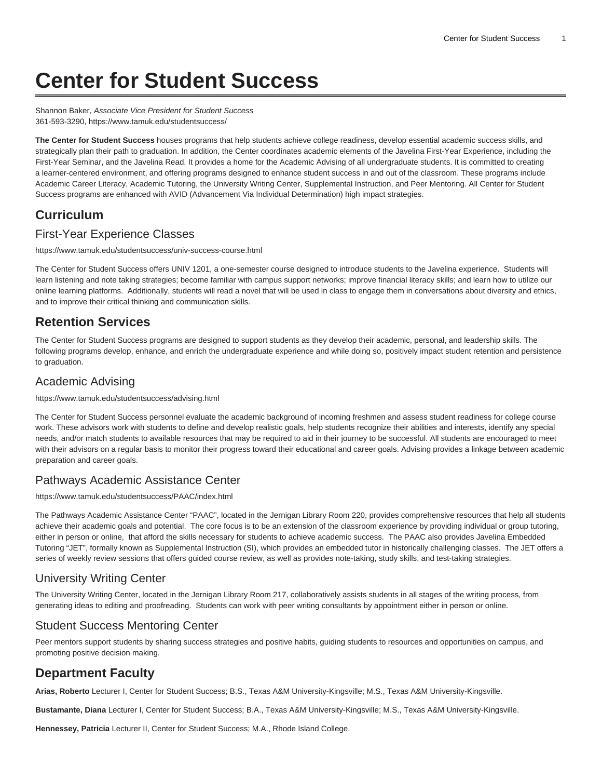# **Center for Student Success**

Shannon Baker, Associate Vice President for Student Success 361-593-3290,<https://www.tamuk.edu/studentsuccess/>

**The Center for Student Success** houses programs that help students achieve college readiness, develop essential academic success skills, and strategically plan their path to graduation. In addition, the Center coordinates academic elements of the Javelina First-Year Experience, including the First-Year Seminar, and the Javelina Read. It provides a home for the Academic Advising of all undergraduate students. It is committed to creating a learner-centered environment, and offering programs designed to enhance student success in and out of the classroom. These programs include Academic Career Literacy, Academic Tutoring, the University Writing Center, Supplemental Instruction, and Peer Mentoring. All Center for Student Success programs are enhanced with AVID (Advancement Via Individual Determination) high impact strategies.

# **Curriculum**

## [First-Year Experience Classes](https://www.tamuk.edu/studentsuccess/univ-success-course.html)

<https://www.tamuk.edu/studentsuccess/univ-success-course.html>

The Center for Student Success offers UNIV 1201, a one-semester course designed to introduce students to the Javelina experience. Students will learn listening and note taking strategies; become familiar with campus support networks; improve financial literacy skills; and learn how to utilize our online learning platforms. Additionally, students will read a novel that will be used in class to engage them in conversations about diversity and ethics, and to improve their critical thinking and communication skills.

## **Retention Services**

The Center for Student Success programs are designed to support students as they develop their academic, personal, and leadership skills. The following programs develop, enhance, and enrich the undergraduate experience and while doing so, positively impact student retention and persistence to graduation.

## [Academic Advising](https://www.tamuk.edu/studentsuccess/advising.html)

<https://www.tamuk.edu/studentsuccess/advising.html>

The Center for Student Success personnel evaluate the academic background of incoming freshmen and assess student readiness for college course work. These advisors work with students to define and develop realistic goals, help students recognize their abilities and interests, identify any special needs, and/or match students to available resources that may be required to aid in their journey to be successful. All students are encouraged to meet with their advisors on a regular basis to monitor their progress toward their educational and career goals. Advising provides a linkage between academic preparation and career goals.

#### [Pathways Academic Assistance Center](http://www.tamuk.edu/studentsuccess/PAAC/)

[https://www.tamuk.edu/studentsuccess/PAAC/index.html](https://www.tamuk.edu/studentsuccess/PAAC/)

The Pathways Academic Assistance Center "PAAC", located in the Jernigan Library Room 220, provides comprehensive resources that help all students achieve their academic goals and potential. The core focus is to be an extension of the classroom experience by providing individual or group tutoring, either in person or online, that afford the skills necessary for students to achieve academic success. The PAAC also provides Javelina Embedded Tutoring "JET", formally known as Supplemental Instruction (SI), which provides an embedded tutor in historically challenging classes. The JET offers a series of weekly review sessions that offers guided course review, as well as provides note-taking, study skills, and test-taking strategies.

## [University Writing Center](http://www.tamuk.edu/writingcenter/)

The University Writing Center, located in the Jernigan Library Room 217, collaboratively assists students in all stages of the writing process, from generating ideas to editing and proofreading. Students can work with peer writing consultants by appointment either in person or online.

## [Student Success Mentoring Center](https://www.tamuk.edu/studentsuccess/mentoring/)

Peer mentors support students by sharing success strategies and positive habits, guiding students to resources and opportunities on campus, and promoting positive decision making.

# **Department Faculty**

**Arias, Roberto** Lecturer I, Center for Student Success; B.S., Texas A&M University-Kingsville; M.S., Texas A&M University-Kingsville.

**Bustamante, Diana** Lecturer I, Center for Student Success; B.A., Texas A&M University-Kingsville; M.S., Texas A&M University-Kingsville.

**Hennessey, Patricia** Lecturer II, Center for Student Success; M.A., Rhode Island College.